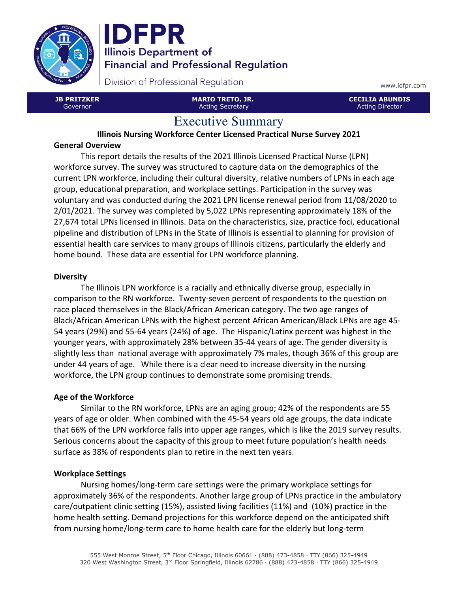



Division of Professional Regulation

JB PRITZKER Governor

MARIO TRETO, JR. Acting Secretary

www.idfpr.com

CECILIA ABUNDIS Acting Director

# Executive Summary

Illinois Nursing Workforce Center Licensed Practical Nurse Survey 2021 General Overview

This report details the results of the 2021 Illinois Licensed Practical Nurse (LPN) workforce survey. The survey was structured to capture data on the demographics of the current LPN workforce, including their cultural diversity, relative numbers of LPNs in each age group, educational preparation, and workplace settings. Participation in the survey was voluntary and was conducted during the 2021 LPN license renewal period from 11/08/2020 to 2/01/2021. The survey was completed by 5,022 LPNs representing approximately 18% of the 27,674 total LPNs licensed in Illinois. Data on the characteristics, size, practice foci, educational pipeline and distribution of LPNs in the State of Illinois is essential to planning for provision of essential health care services to many groups of Illinois citizens, particularly the elderly and home bound. These data are essential for LPN workforce planning.

## **Diversity**

The Illinois LPN workforce is a racially and ethnically diverse group, especially in comparison to the RN workforce. Twenty-seven percent of respondents to the question on race placed themselves in the Black/African American category. The two age ranges of Black/African American LPNs with the highest percent African American/Black LPNs are age 45- 54 years (29%) and 55-64 years (24%) of age. The Hispanic/Latinx percent was highest in the younger years, with approximately 28% between 35-44 years of age. The gender diversity is slightly less than national average with approximately 7% males, though 36% of this group are under 44 years of age. While there is a clear need to increase diversity in the nursing workforce, the LPN group continues to demonstrate some promising trends.

# Age of the Workforce

Similar to the RN workforce, LPNs are an aging group; 42% of the respondents are 55 years of age or older. When combined with the 45-54 years old age groups, the data indicate that 66% of the LPN workforce falls into upper age ranges, which is like the 2019 survey results. Serious concerns about the capacity of this group to meet future population's health needs surface as 38% of respondents plan to retire in the next ten years.

## Workplace Settings

Nursing homes/long-term care settings were the primary workplace settings for approximately 36% of the respondents. Another large group of LPNs practice in the ambulatory care/outpatient clinic setting (15%), assisted living facilities (11%) and (10%) practice in the home health setting. Demand projections for this workforce depend on the anticipated shift from nursing home/long-term care to home health care for the elderly but long-term